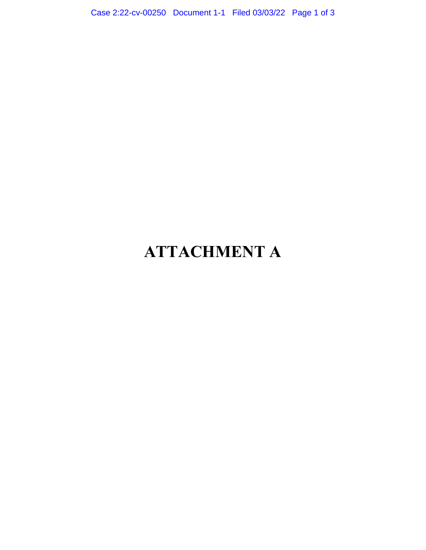Case 2:22-cv-00250 Document 1-1 Filed 03/03/22 Page 1 of 3

## ATTACHMENT A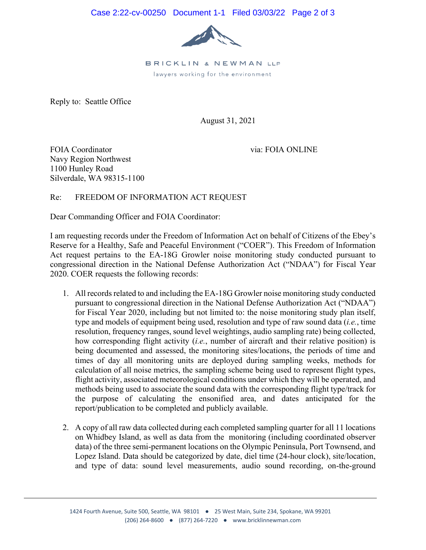

BRICKLIN & NEWMAN LLP lawyers working for the environment

Reply to: Seattle Office

August 31, 2021

FOIA Coordinator and the coordinator and the coordinator and the coordinator of the coordinator of the coordinator  $\alpha$  or  $\alpha$  and  $\alpha$  or  $\alpha$  or  $\alpha$  or  $\alpha$  or  $\alpha$  or  $\alpha$  or  $\alpha$  or  $\alpha$  or  $\alpha$  or  $\alpha$  or  $\alpha$  or  $\$ Navy Region Northwest 1100 Hunley Road Silverdale, WA 98315-1100

## Re: FREEDOM OF INFORMATION ACT REQUEST

Dear Commanding Officer and FOIA Coordinator:

I am requesting records under the Freedom of Information Act on behalf of Citizens of the Ebey's Reserve for a Healthy, Safe and Peaceful Environment ("COER"). This Freedom of Information Act request pertains to the EA-18G Growler noise monitoring study conducted pursuant to congressional direction in the National Defense Authorization Act ("NDAA") for Fiscal Year 2020. COER requests the following records:

- 1. All records related to and including the EA-18G Growler noise monitoring study conducted pursuant to congressional direction in the National Defense Authorization Act ("NDAA") for Fiscal Year 2020, including but not limited to: the noise monitoring study plan itself, type and models of equipment being used, resolution and type of raw sound data (*i.e.*, time resolution, frequency ranges, sound level weightings, audio sampling rate) being collected, how corresponding flight activity (*i.e.*, number of aircraft and their relative position) is being documented and assessed, the monitoring sites/locations, the periods of time and times of day all monitoring units are deployed during sampling weeks, methods for calculation of all noise metrics, the sampling scheme being used to represent flight types, flight activity, associated meteorological conditions under which they will be operated, and methods being used to associate the sound data with the corresponding flight type/track for the purpose of calculating the ensonified area, and dates anticipated for the report/publication to be completed and publicly available.
- 2. A copy of all raw data collected during each completed sampling quarter for all 11 locations on Whidbey Island, as well as data from the monitoring (including coordinated observer data) of the three semi-permanent locations on the Olympic Peninsula, Port Townsend, and Lopez Island. Data should be categorized by date, diel time (24-hour clock), site/location, and type of data: sound level measurements, audio sound recording, on-the-ground